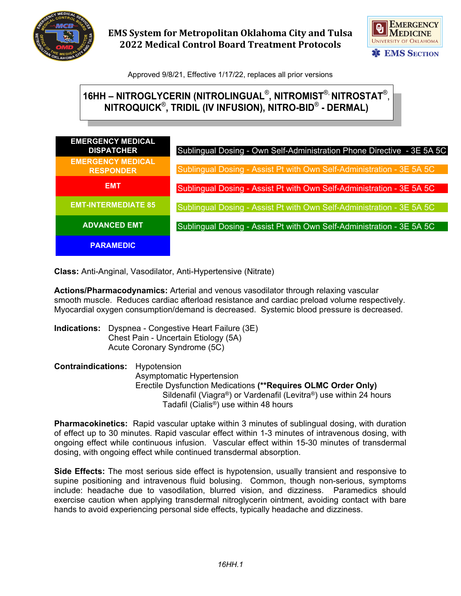

**EMS System for Metropolitan Oklahoma City and Tulsa 2022 Medical Control Board Treatment Protocols**



Approved 9/8/21, Effective 1/17/22, replaces all prior versions

## **16HH – NITROGLYCERIN (NITROLINGUAL**®**, NITROMIST**®, **NITROSTAT**®, **NITROQUICK**®**, TRIDIL (IV INFUSION), NITRO-BID**® **- DERMAL)**

| <b>EMERGENCY MEDICAL</b><br><b>DISPATCHER</b> | Sublingual Dosing - Own Self-Administration Phone Directive - 3E 5A 5C |
|-----------------------------------------------|------------------------------------------------------------------------|
| <b>EMERGENCY MEDICAL</b><br><b>RESPONDER</b>  | Sublingual Dosing - Assist Pt with Own Self-Administration - 3E 5A 5C  |
| <b>EMT</b>                                    | Sublingual Dosing - Assist Pt with Own Self-Administration - 3E 5A 5C  |
| <b>EMT-INTERMEDIATE 85</b>                    | Sublingual Dosing - Assist Pt with Own Self-Administration - 3E 5A 5C  |
| <b>ADVANCED EMT</b>                           | Sublingual Dosing - Assist Pt with Own Self-Administration - 3E 5A 5C  |
| <b>PARAMEDIC</b>                              |                                                                        |

**Class:** Anti-Anginal, Vasodilator, Anti-Hypertensive (Nitrate)

**Actions/Pharmacodynamics:** Arterial and venous vasodilator through relaxing vascular smooth muscle. Reduces cardiac afterload resistance and cardiac preload volume respectively. Myocardial oxygen consumption/demand is decreased. Systemic blood pressure is decreased.

**Indications:** Dyspnea - Congestive Heart Failure (3E) Chest Pain - Uncertain Etiology (5A) Acute Coronary Syndrome (5C)

**Contraindications:** Hypotension Asymptomatic Hypertension Erectile Dysfunction Medications **(\*\*Requires OLMC Order Only)** Sildenafil (Viagra®) or Vardenafil (Levitra®) use within 24 hours Tadafil (Cialis®) use within 48 hours

**Pharmacokinetics:** Rapid vascular uptake within 3 minutes of sublingual dosing, with duration of effect up to 30 minutes. Rapid vascular effect within 1-3 minutes of intravenous dosing, with ongoing effect while continuous infusion. Vascular effect within 15-30 minutes of transdermal dosing, with ongoing effect while continued transdermal absorption.

**Side Effects:** The most serious side effect is hypotension, usually transient and responsive to supine positioning and intravenous fluid bolusing. Common, though non-serious, symptoms include: headache due to vasodilation, blurred vision, and dizziness. Paramedics should exercise caution when applying transdermal nitroglycerin ointment, avoiding contact with bare hands to avoid experiencing personal side effects, typically headache and dizziness.